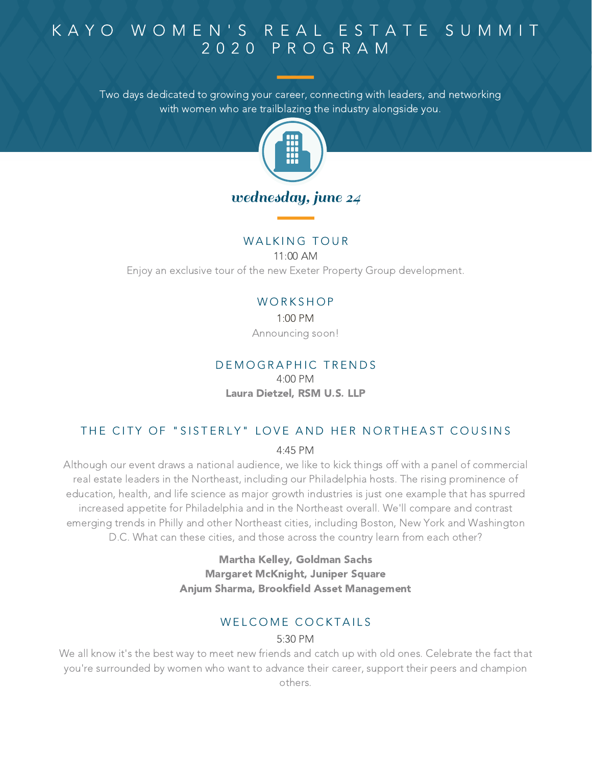Two days dedicated to growing your career, connecting with leaders, and networking with women who are trailblazing the industry alongside you.



#### WALKING TOUR

11:00 AM

Enjoy an exclusive tour of the new Exeter Property Group development.

#### **WORKSHOP**

1:00 PM Announcing soon!

## DEMOGRAPHIC TRENDS

4:00 PM Laura Dietzel, RSM U.S. LLP

#### THE CITY OF "SISTERLY" LOVE AND HER NORTHEAST COUSINS

4:45 PM

Although our event draws a national audience, we like to kick things off with a panel of commercial real estate leaders in the Northeast, including our Philadelphia hosts. The rising prominence of education, health, and life science as major growth industries is just one example that has spurred increased appetite for Philadelphia and in the Northeast overall. We'll compare and contrast emerging trends in Philly and other Northeast cities, including Boston, New York and Washington D.C. What can these cities, and those across the country learn from each other?

> Martha Kelley, Goldman Sachs Margaret McKnight, Juniper Square Anjum Sharma, Brookfield Asset Management

## WELCOME COCKTAILS

#### 5:30 PM

We all know it's the best way to meet new friends and catch up with old ones. Celebrate the fact that you're surrounded by women who want to advance their career, support their peers and champion others.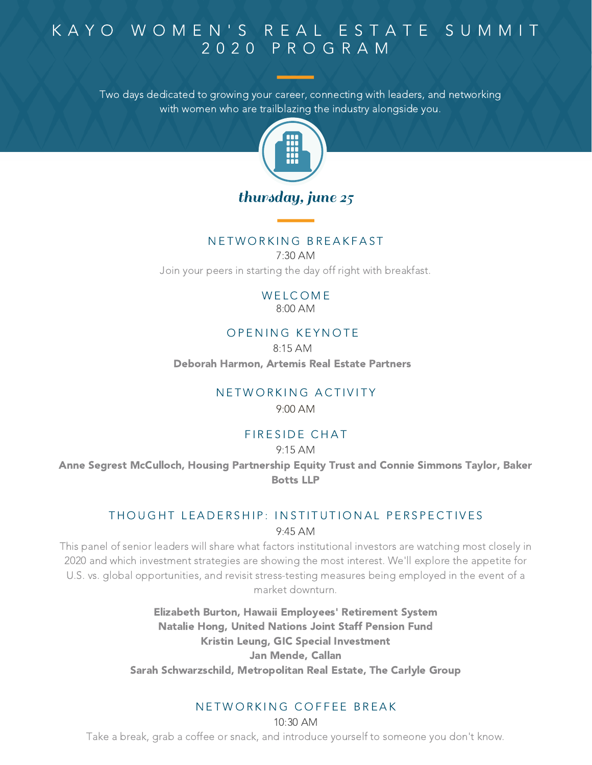Two days dedicated to growing your career, connecting with leaders, and networking with women who are trailblazing the industry alongside you.



## thursday, june 25

### N E T W O R K I N G B R E A K F A S T

7:30 AM Join your peers in starting the day off right with breakfast.

> **WELCOME** 8:00 AM

#### OPENING KEYNOTE

8:15 AM

Deborah Harmon, Artemis Real Estate Partners

### N F T W O R K I N G A C T I V I T Y

9:00 AM

### FIRESIDE CHAT

#### 9:15 AM

Anne Segrest McCulloch, Housing Partnership Equity Trust and Connie Simmons Taylor, Baker Botts LLP

## 9:45 AM THOUGHT LEADERSHIP: INSTITUTIONAL PERSPECTIVES

This panel of senior leaders will share what factors institutional investors are watching most closely in 2020 and which investment strategies are showing the most interest. We'll explore the appetite for U.S. vs. global opportunities, and revisit stress-testing measures being employed in the event of a market downturn.

> Elizabeth Burton, Hawaii Employees' Retirement System Natalie Hong, United Nations Joint Staff Pension Fund Kristin Leung, GIC Special Investment Jan Mende, Callan Sarah Schwarzschild, Metropolitan Real Estate, The Carlyle Group

### N E T W O R K I N G C O F F E E B R E A K

10:30 AM

Take a break, grab a coffee or snack, and introduce yourself to someone you don't know.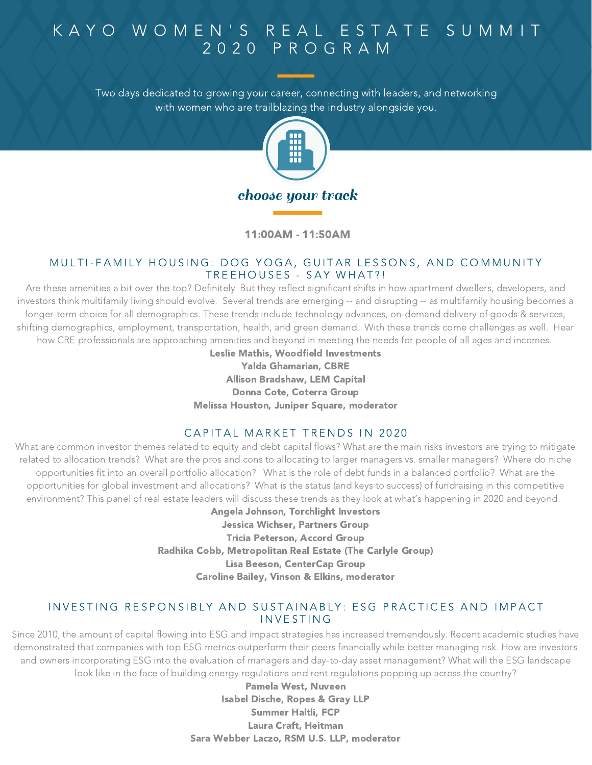Two days dedicated to growing your career, connecting with leaders, and networking with women who are trailblazing the industry alongside you.



11:00AM - 11:50AM

#### MULTI-FAMILY HOUSING: DOG YOGA, GUITAR LESSONS, AND COMMUNITY TREEHOUSES - SAY WHAT ?!

Are these amenities a bit over the top? Definitely. But they reflect significant shifts in how apartment dwellers, developers, and investors think multifamily living should evolve. Several trends are emerging -- and disrupting -- as multifamily housing becomes a longer-term choice for all demographics. These trends include technology advances, on-demand delivery of goods & services, shifting demographics, employment, transportation, health, and green demand. With these trends come challenges as well. Hear how CRE professionals are approaching amenities and beyond in meeting the needs for people of all ages and incomes.

Leslie Mathis, Woodfield Investments Yalda Ghamarian, CBRE Allison Bradshaw, LEM Capital Donna Cote, Coterra Group Melissa Houston, Juniper Square, moderator

#### CAPITAL MARKET TRENDS IN 2020

What are common investor themes related to equity and debt capital flows? What are the main risks investors are trying to mitigate related to allocation trends? What are the pros and cons to allocating to larger managers vs. smaller managers? Where do niche opportunities fit into an overall portfolio allocation? What is the role of debt funds in a balanced portfolio? What are the opportunities for global investment and allocations? What is the status (and keys to success) of fundraising in this competitive environment? This panel of real estate leaders will discuss these trends as they look at what's happening in 2020 and beyond.

Angela Johnson, Torchlight Investors Jessica Wichser, Partners Group Tricia Peterson, Accord Group Radhika Cobb, Metropolitan Real Estate (The Carlyle Group) Lisa Beeson, CenterCap Group Caroline Bailey, Vinson & Elkins, moderator

#### INVESTING RESPONSIBLY AND SUSTAINABLY: ESG PRACTICES AND IMPACT **INVESTING**

Since 2010, the amount of capital flowing into ESG and impact strategies has increased tremendously. Recent academic studies have demonstrated that companies with top ESG metrics outperform their peers financially while better managing risk. How are investors and owners incorporating ESG into the evaluation of managers and day-to-day asset management? What will the ESG landscape look like in the face of building energy regulations and rent regulations popping up across the country?

Pamela West, Nuveen Isabel Dische, Ropes & Gray LLP Summer Haltli, FCP Laura Craft, Heitman Sara Webber Laczo, RSM U.S. LLP, moderator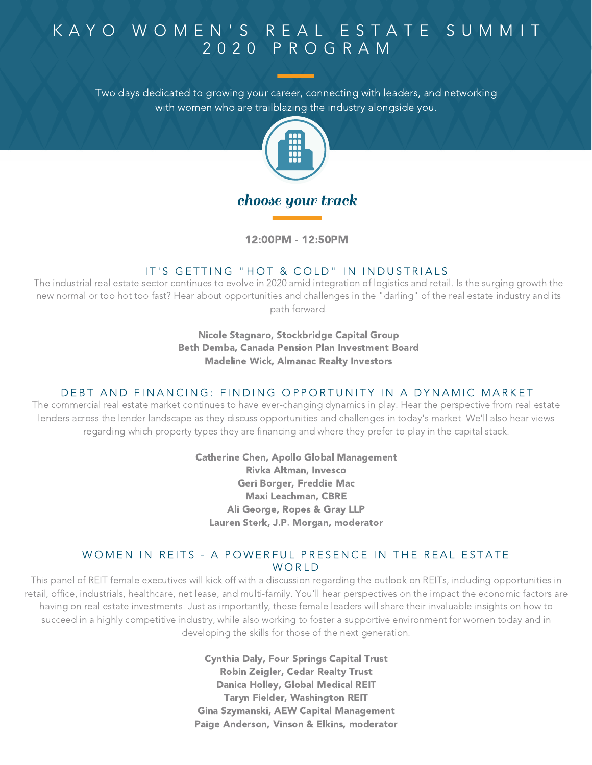Two days dedicated to growing your career, connecting with leaders, and networking with women who are trailblazing the industry alongside you.



## choose your track

12:00PM - 12:50PM

### IT'S GETTING "HOT & COLD" IN INDUSTRIALS

The industrial real estate sector continues to evolve in 2020 amid integration of logistics and retail. Is the surging growth the new normal or too hot too fast? Hear about opportunities and challenges in the "darling" of the real estate industry and its path forward.

> Nicole Stagnaro, Stockbridge Capital Group Beth Demba, Canada Pension Plan Investment Board Madeline Wick, Almanac Realty Investors

#### DEBT AND FINANCING: FINDING OPPORTUNITY IN A DYNAMIC MARKET

The commercial real estate market continues to have ever-changing dynamics in play. Hear the perspective from real estate lenders across the lender landscape as they discuss opportunities and challenges in today's market. We'll also hear views regarding which property types they are financing and where they prefer to play in the capital stack.

> Catherine Chen, Apollo Global Management Rivka Altman, Invesco Geri Borger, Freddie Mac Maxi Leachman, CBRE Ali George, Ropes & Gray LLP Lauren Sterk, J.P. Morgan, moderator

#### WOMEN IN REITS - A POWERFUL PRESENCE IN THE REAL ESTATE WORLD.

This panel of REIT female executives will kick off with a discussion regarding the outlook on REITs, including opportunities in retail, office, industrials, healthcare, net lease, and multi-family. You'll hear perspectives on the impact the economic factors are having on real estate investments. Just as importantly, these female leaders will share their invaluable insights on how to succeed in a highly competitive industry, while also working to foster a supportive environment for women today and in developing the skills for those of the next generation.

> Cynthia Daly, Four Springs Capital Trust Robin Zeigler, Cedar Realty Trust Danica Holley, Global Medical REIT Taryn Fielder, Washington REIT Gina Szymanski, AEW Capital Management Paige Anderson, Vinson & Elkins, moderator